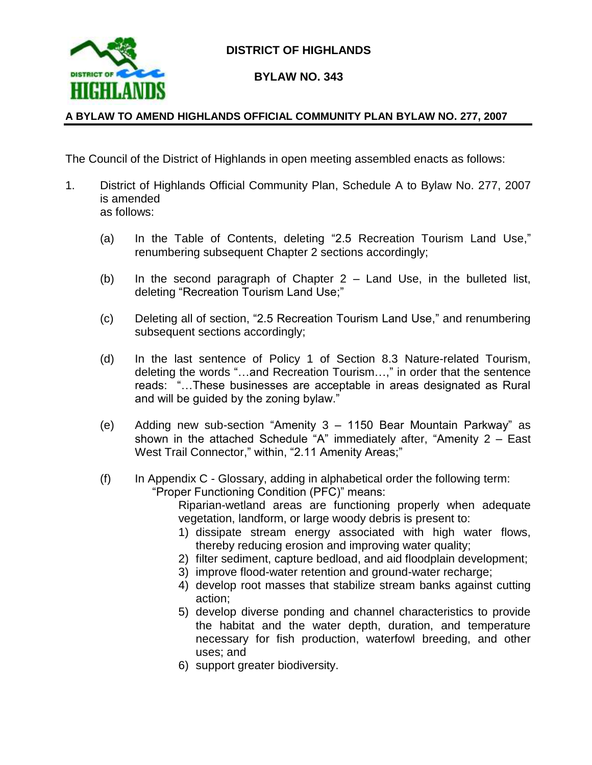

## **DISTRICT OF HIGHLANDS**

## **BYLAW NO. 343**

### **A BYLAW TO AMEND HIGHLANDS OFFICIAL COMMUNITY PLAN BYLAW NO. 277, 2007**

The Council of the District of Highlands in open meeting assembled enacts as follows:

- 1. District of Highlands Official Community Plan, Schedule A to Bylaw No. 277, 2007 is amended as follows:
	- (a) In the Table of Contents, deleting "2.5 Recreation Tourism Land Use," renumbering subsequent Chapter 2 sections accordingly;
	- (b) In the second paragraph of Chapter 2 Land Use, in the bulleted list, deleting "Recreation Tourism Land Use;"
	- (c) Deleting all of section, "2.5 Recreation Tourism Land Use," and renumbering subsequent sections accordingly;
	- (d) In the last sentence of Policy 1 of Section 8.3 Nature-related Tourism, deleting the words "…and Recreation Tourism…," in order that the sentence reads: "…These businesses are acceptable in areas designated as Rural and will be guided by the zoning bylaw."
	- (e) Adding new sub-section "Amenity 3 1150 Bear Mountain Parkway" as shown in the attached Schedule "A" immediately after, "Amenity 2 – East West Trail Connector," within, "2.11 Amenity Areas;"
	- $(f)$  In Appendix C Glossary, adding in alphabetical order the following term: "Proper Functioning Condition (PFC)" means:

Riparian-wetland areas are functioning properly when adequate vegetation, landform, or large woody debris is present to:

- 1) dissipate stream energy associated with high water flows, thereby reducing erosion and improving water quality;
- 2) filter sediment, capture bedload, and aid floodplain development;
- 3) improve flood-water retention and ground-water recharge;
- 4) develop root masses that stabilize stream banks against cutting action;
- 5) develop diverse ponding and channel characteristics to provide the habitat and the water depth, duration, and temperature necessary for fish production, waterfowl breeding, and other uses; and
- 6) support greater biodiversity.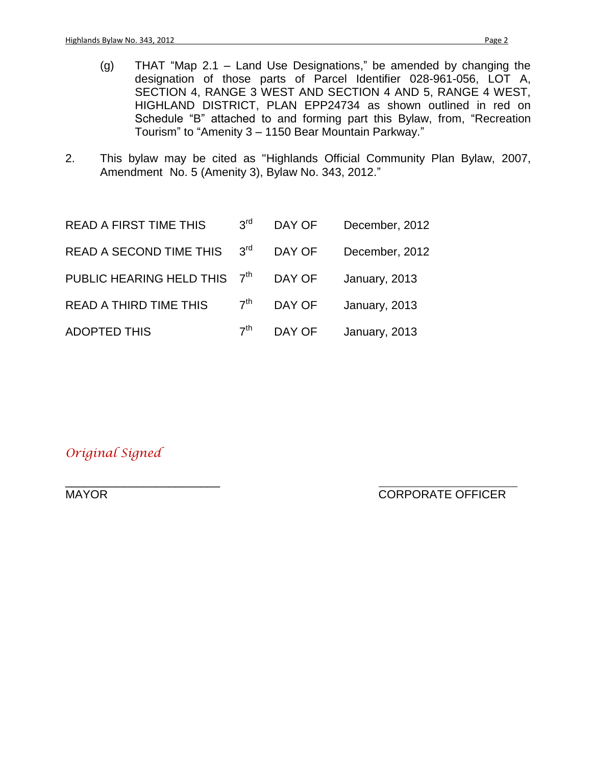- (g) THAT "Map 2.1 Land Use Designations," be amended by changing the designation of those parts of Parcel Identifier 028-961-056, LOT A, SECTION 4, RANGE 3 WEST AND SECTION 4 AND 5, RANGE 4 WEST, HIGHLAND DISTRICT, PLAN EPP24734 as shown outlined in red on Schedule "B" attached to and forming part this Bylaw, from, "Recreation Tourism" to "Amenity 3 – 1150 Bear Mountain Parkway."
- 2. This bylaw may be cited as "Highlands Official Community Plan Bylaw, 2007, Amendment No. 5 (Amenity 3), Bylaw No. 343, 2012."

| <b>READ A FIRST TIME THIS</b> | 3 <sup>rd</sup> | DAY OF | December, 2012 |
|-------------------------------|-----------------|--------|----------------|
| READ A SECOND TIME THIS       | $3^{\text{rd}}$ | DAY OF | December, 2012 |
| PUBLIC HEARING HELD THIS 7th  |                 | DAY OF | January, 2013  |
| READ A THIRD TIME THIS        | 7 <sup>th</sup> | DAY OF | January, 2013  |
| <b>ADOPTED THIS</b>           | 7 <sup>th</sup> | DAY OF | January, 2013  |

*Original Signed*

\_\_\_\_\_\_\_\_\_\_\_\_\_\_\_\_\_\_\_\_\_\_\_\_

MAYOR EXAMPLE OF THE CORPORATE OFFICER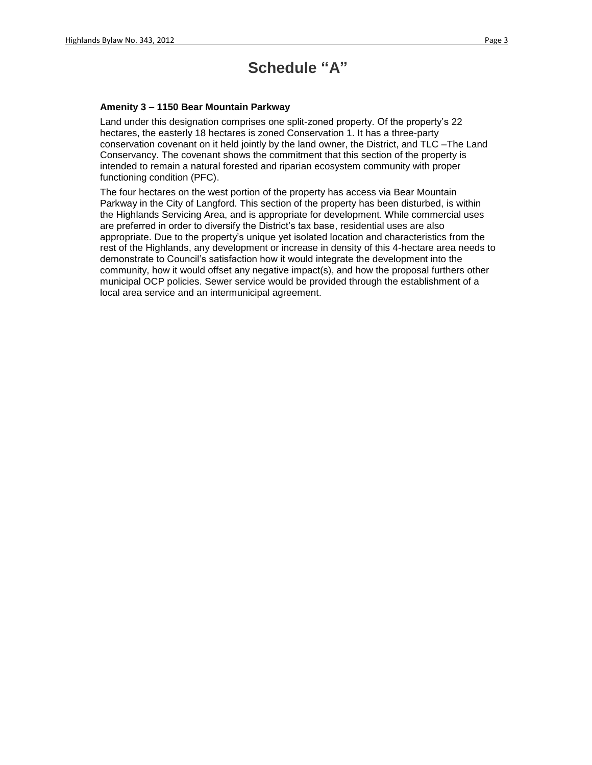## **Schedule "A"**

#### **Amenity 3 – 1150 Bear Mountain Parkway**

Land under this designation comprises one split-zoned property. Of the property's 22 hectares, the easterly 18 hectares is zoned Conservation 1. It has a three-party conservation covenant on it held jointly by the land owner, the District, and TLC –The Land Conservancy. The covenant shows the commitment that this section of the property is intended to remain a natural forested and riparian ecosystem community with proper functioning condition (PFC).

The four hectares on the west portion of the property has access via Bear Mountain Parkway in the City of Langford. This section of the property has been disturbed, is within the Highlands Servicing Area, and is appropriate for development. While commercial uses are preferred in order to diversify the District's tax base, residential uses are also appropriate. Due to the property's unique yet isolated location and characteristics from the rest of the Highlands, any development or increase in density of this 4-hectare area needs to demonstrate to Council's satisfaction how it would integrate the development into the community, how it would offset any negative impact(s), and how the proposal furthers other municipal OCP policies. Sewer service would be provided through the establishment of a local area service and an intermunicipal agreement.